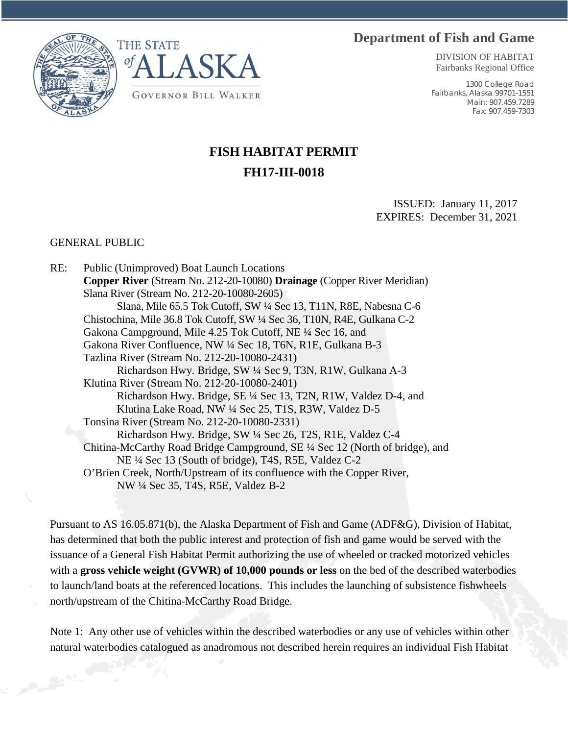## **Department of Fish and Game**





DIVISION OF HABITAT Fairbanks Regional Office

1300 College Road Fairbanks, Alaska 99701-1551 Main: 907.459.7289 Fax: 907.459-7303

## **FISH HABITAT PERMIT FH17-III-0018**

ISSUED: January 11, 2017 EXPIRES: December 31, 2021

## GENERAL PUBLIC

RE: Public (Unimproved) Boat Launch Locations **Copper River** (Stream No. 212-20-10080) **Drainage** (Copper River Meridian) Slana River (Stream No. 212-20-10080-2605) Slana, Mile 65.5 Tok Cutoff, SW ¼ Sec 13, T11N, R8E, Nabesna C-6 Chistochina, Mile 36.8 Tok Cutoff, SW ¼ Sec 36, T10N, R4E, Gulkana C-2 Gakona Campground, Mile 4.25 Tok Cutoff, NE ¼ Sec 16, and Gakona River Confluence, NW ¼ Sec 18, T6N, R1E, Gulkana B-3 Tazlina River (Stream No. 212-20-10080-2431) Richardson Hwy. Bridge, SW ¼ Sec 9, T3N, R1W, Gulkana A-3 Klutina River (Stream No. 212-20-10080-2401) Richardson Hwy. Bridge, SE ¼ Sec 13, T2N, R1W, Valdez D-4, and Klutina Lake Road, NW ¼ Sec 25, T1S, R3W, Valdez D-5 Tonsina River (Stream No. 212-20-10080-2331) Richardson Hwy. Bridge, SW ¼ Sec 26, T2S, R1E, Valdez C-4 Chitina-McCarthy Road Bridge Campground, SE ¼ Sec 12 (North of bridge), and NE ¼ Sec 13 (South of bridge), T4S, R5E, Valdez C-2 O'Brien Creek, North/Upstream of its confluence with the Copper River, NW ¼ Sec 35, T4S, R5E, Valdez B-2

Pursuant to AS 16.05.871(b), the Alaska Department of Fish and Game (ADF&G), Division of Habitat, has determined that both the public interest and protection of fish and game would be served with the issuance of a General Fish Habitat Permit authorizing the use of wheeled or tracked motorized vehicles with a **gross vehicle weight (GVWR) of 10,000 pounds or less** on the bed of the described waterbodies to launch/land boats at the referenced locations. This includes the launching of subsistence fishwheels north/upstream of the Chitina-McCarthy Road Bridge.

Note 1: Any other use of vehicles within the described waterbodies or any use of vehicles within other natural waterbodies catalogued as anadromous not described herein requires an individual Fish Habitat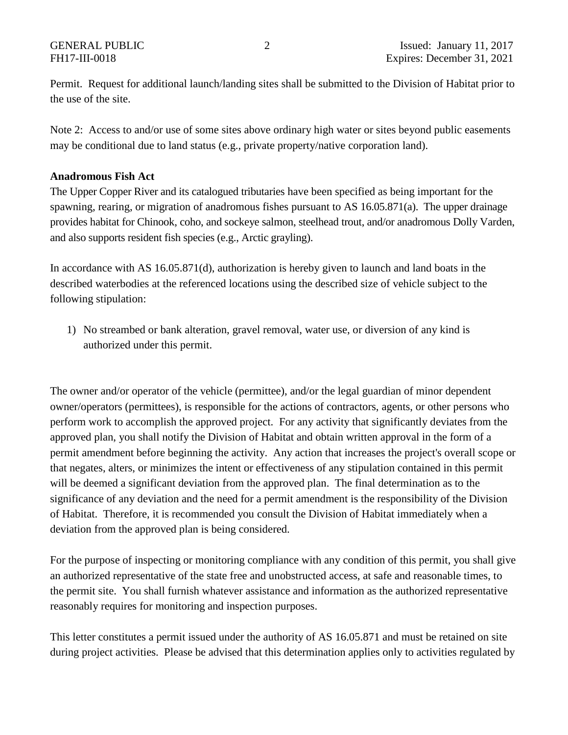Permit. Request for additional launch/landing sites shall be submitted to the Division of Habitat prior to the use of the site.

Note 2: Access to and/or use of some sites above ordinary high water or sites beyond public easements may be conditional due to land status (e.g., private property/native corporation land).

## **Anadromous Fish Act**

The Upper Copper River and its catalogued tributaries have been specified as being important for the spawning, rearing, or migration of anadromous fishes pursuant to AS 16.05.871(a). The upper drainage provides habitat for Chinook, coho, and sockeye salmon, steelhead trout, and/or anadromous Dolly Varden, and also supports resident fish species (e.g., Arctic grayling).

In accordance with AS 16.05.871(d), authorization is hereby given to launch and land boats in the described waterbodies at the referenced locations using the described size of vehicle subject to the following stipulation:

1) No streambed or bank alteration, gravel removal, water use, or diversion of any kind is authorized under this permit.

The owner and/or operator of the vehicle (permittee), and/or the legal guardian of minor dependent owner/operators (permittees), is responsible for the actions of contractors, agents, or other persons who perform work to accomplish the approved project. For any activity that significantly deviates from the approved plan, you shall notify the Division of Habitat and obtain written approval in the form of a permit amendment before beginning the activity. Any action that increases the project's overall scope or that negates, alters, or minimizes the intent or effectiveness of any stipulation contained in this permit will be deemed a significant deviation from the approved plan. The final determination as to the significance of any deviation and the need for a permit amendment is the responsibility of the Division of Habitat. Therefore, it is recommended you consult the Division of Habitat immediately when a deviation from the approved plan is being considered.

For the purpose of inspecting or monitoring compliance with any condition of this permit, you shall give an authorized representative of the state free and unobstructed access, at safe and reasonable times, to the permit site. You shall furnish whatever assistance and information as the authorized representative reasonably requires for monitoring and inspection purposes.

This letter constitutes a permit issued under the authority of AS 16.05.871 and must be retained on site during project activities. Please be advised that this determination applies only to activities regulated by